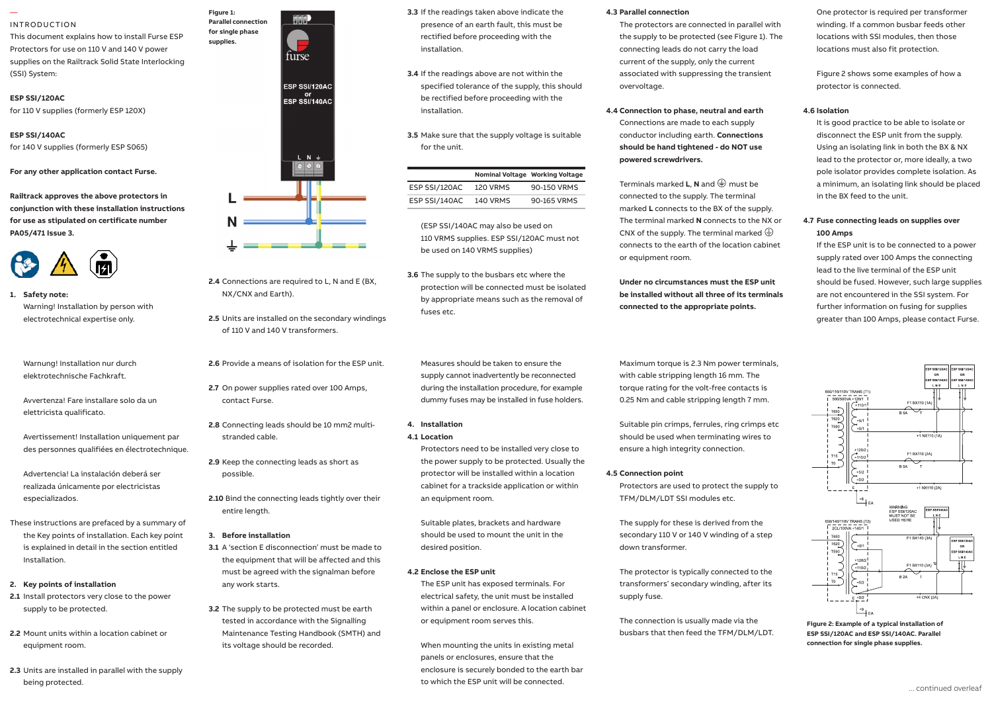#### — INTRODUCTION

This document explains how to install Furse ESP Protectors for use on 110 V and 140 V power supplies on the Railtrack Solid State Interlocking (SSI) System:

#### **ESP SSI/120AC**

for 110 V supplies (formerly ESP 120X)

**ESP SSI/140AC**

for 140 V supplies (formerly ESP S065)

**For any other application contact Furse.**

Railtrack approves the above protectors in conjunction with these installation instructions **for use as stipulated on certificate number PA05/471 Issue 3.**



**1. Safety note:** Safety note: Warning! Installation by person with electrotechnical expertise only. ly. **2.5** Units are installed on the secondary windings

Warnung! Installation nur durch elektrotechnische Fachkraft. especializados. **2.6** Provide a means of isolation for the ESP unit.

esp protector installare solo da un avvertenza! Fare installare solo da un antiqualità del competent per solo da un antiqualità del competent per solo da un antiqualità del competent per solo da un antiqualità del competen elettricista qualificato.  $\alpha$  unded conductor conductor  $\alpha$ 

Avertissement! Installation uniquement par str des personnes qualifiées des personnes qualifiées en électrotechnique.

Advertencia! La instalación deberá ser realizada únicamente por electricistas especializados. distribution panel or directly alongside it. **2.10** Bind the connecting leads tightly over their

is explained in detail in the section entitled **3.1** A 's These instructions are prefaced by a summary of the Key points of installation. Each key point Installation.

### **2. Key points of installation**

- **2.1** Install protectors very close to the power supply to be protected.
- **2.2** Mount units within a location cabinet or equipment room.
- **2.3** Units are installed in parallel with the supply being protected.



**Figure 1:** 

**supplies.**



**3.3** If the readings taken above indicate the presence of an earth fault, this must be rectified before proceeding with the installation.

- **3.4** If the readings above are not within the specified tolerance of the supply, this should be rectified before proceeding with the installation.
- **3.5** Make sure that the supply voltage is suitable for the unit.

|               | Nominal Voltage Working Voltage |             |
|---------------|---------------------------------|-------------|
| ESP SSI/120AC | <b>120 VRMS</b>                 | 90-150 VRMS |
| ESP SSI/140AC | <b>140 VRMS</b>                 | 90-165 VRMS |

(ESP SSI/140AC may also be used on 110 VRMS supplies. ESP SSI/120AC must not be used on 140 VRMS supplies)

**3.6** The supply to the busbars etc where the protection will be connected must be isolated by appropriate means such as the removal of fuses etc.

Measures should be taken to ensure the supply cannot inadvertently be reconnected during the installation procedure, for example dummy fuses may be installed in fuse holders.

## **4. Installation**

## **4.1 Location**

Protectors need to be installed very close to the power supply to be protected. Usually the protector will be installed within a location cabinet for a trackside application or within an equipment room.

Suitable plates, brackets and hardware should be used to mount the unit in the desired position.

## **4.2 Enclose the ESP unit**

The ESP unit has exposed terminals. For electrical safety, the unit must be installed within a panel or enclosure. A location cabinet or equipment room serves this.

When mounting the units in existing metal panels or enclosures, ensure that the enclosure is securely bonded to the earth bar to which the ESP unit will be connected.

## **4.3 Parallel connection**

The protectors are connected in parallel with the supply to be protected (see Figure 1). The connecting leads do not carry the load current of the supply, only the current associated with suppressing the transient overvoltage.

## **4.4 Connection to phase, neutral and earth**

Connections are made to each supply conductor including earth. **Connections should be hand tightened - do NOT use powered screwdrivers.**

Terminals marked **L**. **N** and  $\bigoplus$  must be connected to the supply. The terminal marked **L** connects to the BX of the supply. The terminal marked **N** connects to the NX or CNX of the supply. The terminal marked  $\bigoplus$ connects to the earth of the location cabinet or equipment room.

**Under no circumstances must the ESP unit be installed without all three of its terminals connected to the appropriate points.**

Maximum torque is 2.3 Nm power terminals, with cable stripping length 16 mm. The torque rating for the volt-free contacts is 0.25 Nm and cable stripping length 7 mm.

Suitable pin crimps, ferrules, ring crimps etc should be used when terminating wires to ensure a high integrity connection.

## **4.5 Connection point**

Protectors are used to protect the supply to TFM/DLM/LDT SSI modules etc.

The supply for these is derived from the secondary 110 V or 140 V winding of a step down transformer.

The protector is typically connected to the transformers' secondary winding, after its supply fuse.

The connection is usually made via the busbars that then feed the TFM/DLM/LDT. One protector is required per transformer winding. If a common busbar feeds other locations with SSI modules, then those locations must also fit protection.

Figure 2 shows some examples of how a protector is connected.

### **4.6 Isolation**

It is good practice to be able to isolate or disconnect the ESP unit from the supply. Using an isolating link in both the BX & NX lead to the protector or, more ideally, a two pole isolator provides complete isolation. As a minimum, an isolating link should be placed in the BX feed to the unit.

## **4.7 Fuse connecting leads on supplies over 100 Amps**

If the ESP unit is to be connected to a power supply rated over 100 Amps the connecting lead to the live terminal of the ESP unit should be fused. However, such large supplies are not encountered in the SSI system. For further information on fusing for supplies greater than 100 Amps, please contact Furse.



**Figure 2: Example of a typical installation of ESP SSI/120AC and ESP SSI/140AC. Parallel connection for single phase supplies.**



**2.4** Connections are required to L, N and E (BX,

of 110 V and 140 V transformers.

**2.7** On power supplies rated over 100 Amps,

**3.1** A 'section E disconnection' must be made to the equipment that will be affected and this must be agreed with the signalman before

**3.2** The supply to be protected must be earth tested in accordance with the Signalling Maintenance Testing Handbook (SMTH) and

its voltage should be recorded.

NX/CNX and Earth).

**2.8** Connecting leads should be 10 mm2 multi-

stranded cable.

contact Furse.

**2.9** Keep the connecting leads as short as

entire length.

**3. Before installation**

any work starts.

possible.

1.4 Connect to phase(s), neutral and earth.